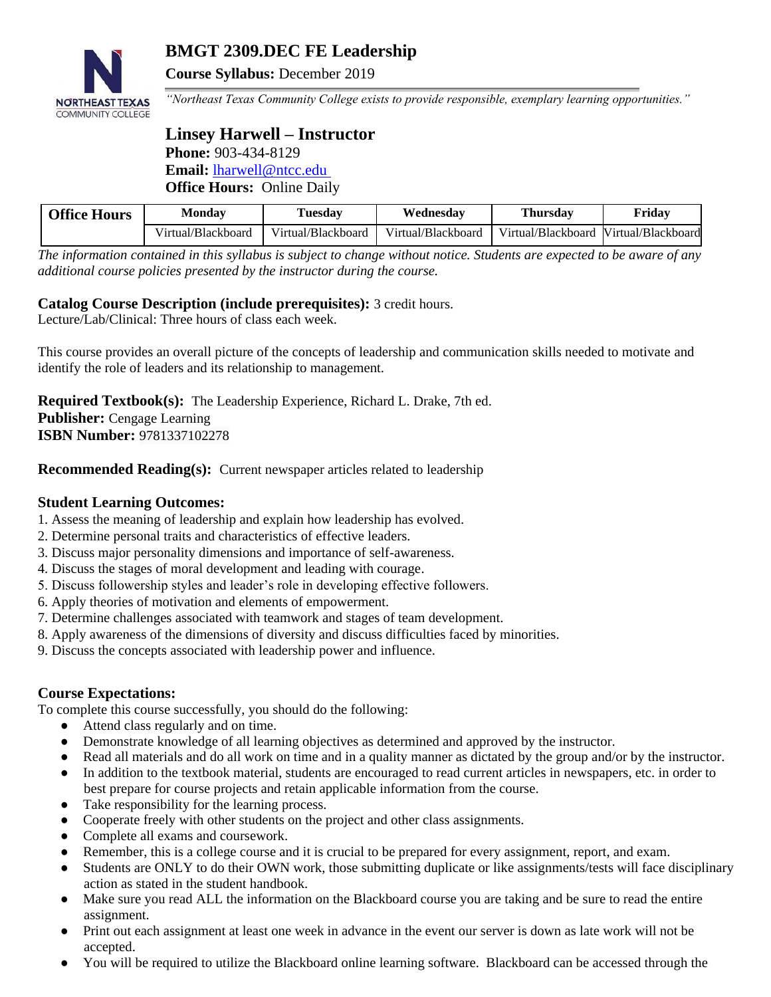

# **BMGT 2309.DEC FE Leadership**

**Course Syllabus:** December 2019

*"Northeast Texas Community College exists to provide responsible, exemplary learning opportunities."*

# **Linsey Harwell – Instructor Phone:** 903-434-8129 **Email:** [lharwell@ntcc.edu](mailto:lharwell@ntcc.edu) **Office Hours:** Online Daily

| <b>Office Hours</b> | Monday             | Tuesdav            | Wednesdav          | Thursdav                              | Fridav |
|---------------------|--------------------|--------------------|--------------------|---------------------------------------|--------|
|                     | Virtual/Blackboard | Virtual/Blackboard | Virtual/Blackboard | Virtual/Blackboard Virtual/Blackboard |        |

*The information contained in this syllabus is subject to change without notice. Students are expected to be aware of any additional course policies presented by the instructor during the course.*

# **Catalog Course Description (include prerequisites):** 3 credit hours.

Lecture/Lab/Clinical: Three hours of class each week.

This course provides an overall picture of the concepts of leadership and communication skills needed to motivate and identify the role of leaders and its relationship to management.

**Required Textbook(s):** The Leadership Experience, Richard L. Drake, 7th ed. **Publisher:** Cengage Learning **ISBN Number:** 9781337102278

**Recommended Reading(s):** Current newspaper articles related to leadership

## **Student Learning Outcomes:**

- 1. Assess the meaning of leadership and explain how leadership has evolved.
- 2. Determine personal traits and characteristics of effective leaders.
- 3. Discuss major personality dimensions and importance of self-awareness.
- 4. Discuss the stages of moral development and leading with courage.
- 5. Discuss followership styles and leader's role in developing effective followers.
- 6. Apply theories of motivation and elements of empowerment.
- 7. Determine challenges associated with teamwork and stages of team development.
- 8. Apply awareness of the dimensions of diversity and discuss difficulties faced by minorities.
- 9. Discuss the concepts associated with leadership power and influence.

## **Course Expectations:**

To complete this course successfully, you should do the following:

- Attend class regularly and on time.
- Demonstrate knowledge of all learning objectives as determined and approved by the instructor.
- Read all materials and do all work on time and in a quality manner as dictated by the group and/or by the instructor.
- In addition to the textbook material, students are encouraged to read current articles in newspapers, etc. in order to best prepare for course projects and retain applicable information from the course.
- Take responsibility for the learning process.
- Cooperate freely with other students on the project and other class assignments.
- Complete all exams and coursework.
- Remember, this is a college course and it is crucial to be prepared for every assignment, report, and exam.
- Students are ONLY to do their OWN work, those submitting duplicate or like assignments/tests will face disciplinary action as stated in the student handbook.
- Make sure you read ALL the information on the Blackboard course you are taking and be sure to read the entire assignment.
- Print out each assignment at least one week in advance in the event our server is down as late work will not be accepted.
- You will be required to utilize the Blackboard online learning software. Blackboard can be accessed through the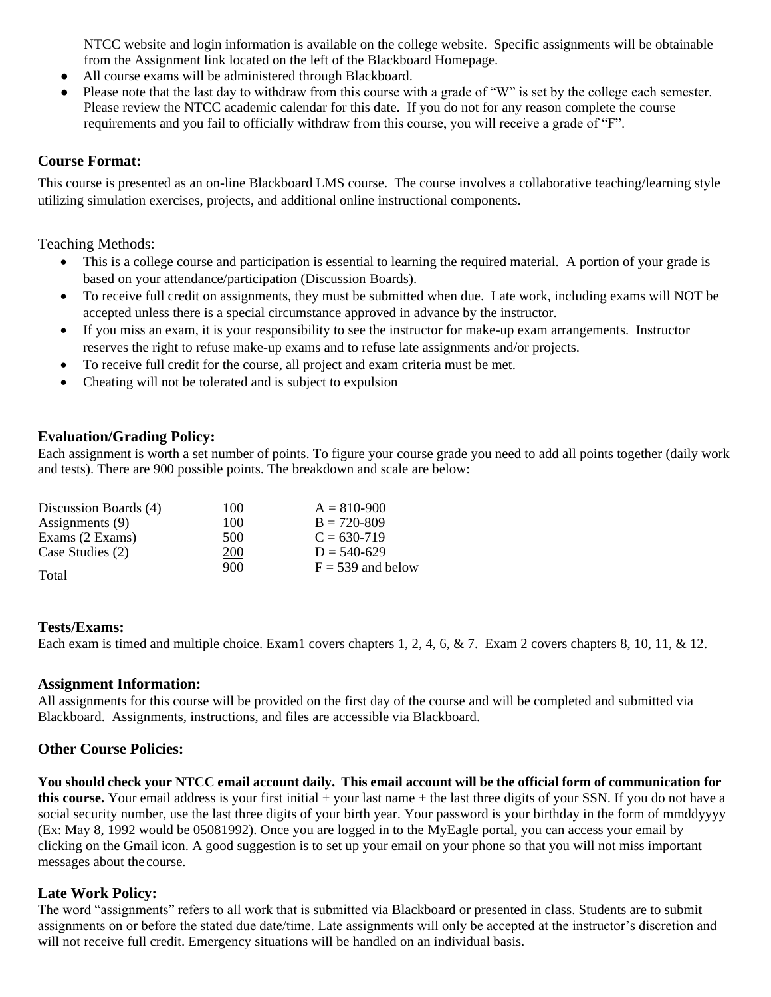NTCC website and login information is available on the college website. Specific assignments will be obtainable from the Assignment link located on the left of the Blackboard Homepage.

- All course exams will be administered through Blackboard.
- Please note that the last day to withdraw from this course with a grade of "W" is set by the college each semester. Please review the NTCC academic calendar for this date. If you do not for any reason complete the course requirements and you fail to officially withdraw from this course, you will receive a grade of "F".

### **Course Format:**

This course is presented as an on-line Blackboard LMS course. The course involves a collaborative teaching/learning style utilizing simulation exercises, projects, and additional online instructional components.

Teaching Methods:

- This is a college course and participation is essential to learning the required material. A portion of your grade is based on your attendance/participation (Discussion Boards).
- To receive full credit on assignments, they must be submitted when due. Late work, including exams will NOT be accepted unless there is a special circumstance approved in advance by the instructor.
- If you miss an exam, it is your responsibility to see the instructor for make-up exam arrangements. Instructor reserves the right to refuse make-up exams and to refuse late assignments and/or projects.
- To receive full credit for the course, all project and exam criteria must be met.
- Cheating will not be tolerated and is subject to expulsion

#### **Evaluation/Grading Policy:**

Each assignment is worth a set number of points. To figure your course grade you need to add all points together (daily work and tests). There are 900 possible points. The breakdown and scale are below:

| Discussion Boards (4) | 100 | $A = 810 - 900$     |
|-----------------------|-----|---------------------|
| Assignments (9)       | 100 | $B = 720 - 809$     |
| Exams (2 Exams)       | 500 | $C = 630 - 719$     |
| Case Studies (2)      | 200 | $D = 540-629$       |
| Total                 | 900 | $F = 539$ and below |

#### **Tests/Exams:**

Each exam is timed and multiple choice. Exam1 covers chapters 1, 2, 4, 6, & 7. Exam 2 covers chapters 8, 10, 11, & 12.

#### **Assignment Information:**

All assignments for this course will be provided on the first day of the course and will be completed and submitted via Blackboard. Assignments, instructions, and files are accessible via Blackboard.

#### **Other Course Policies:**

You should check your NTCC email account daily. This email account will be the official form of communication for **this course.** Your email address is your first initial + your last name + the last three digits of your SSN. If you do not have a social security number, use the last three digits of your birth year. Your password is your birthday in the form of mmddyyyy (Ex: May 8, 1992 would be 05081992). Once you are logged in to the MyEagle portal, you can access your email by clicking on the Gmail icon. A good suggestion is to set up your email on your phone so that you will not miss important messages about the course.

## **Late Work Policy:**

The word "assignments" refers to all work that is submitted via Blackboard or presented in class. Students are to submit assignments on or before the stated due date/time. Late assignments will only be accepted at the instructor's discretion and will not receive full credit. Emergency situations will be handled on an individual basis.